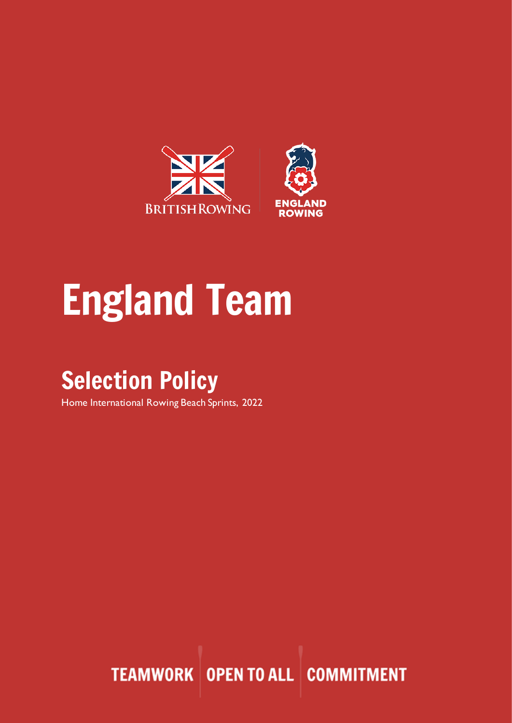

# England Team

## Selection Policy

Home International Rowing Beach Sprints, 2022

**TEAMWORK OPEN TO ALL COMMITMENT**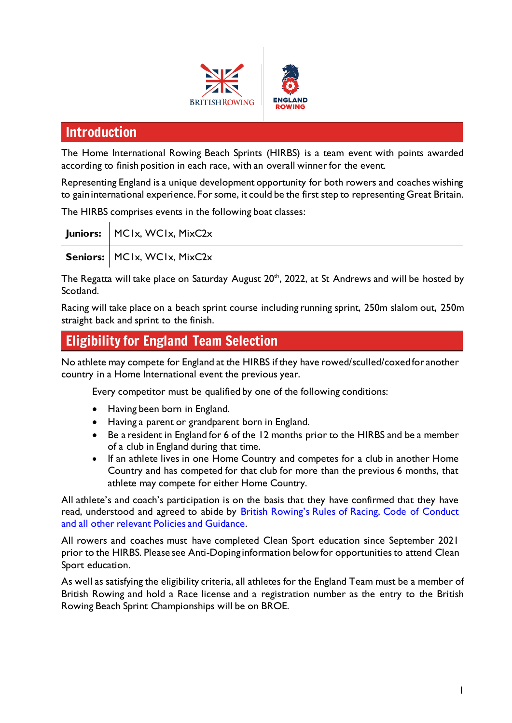



## Introduction

The Home International Rowing Beach Sprints (HIRBS) is a team event with points awarded according to finish position in each race, with an overall winner for the event.

Representing England is a unique development opportunity for both rowers and coaches wishing to gain international experience. For some, it could be the first step to representing Great Britain.

The HIRBS comprises events in the following boat classes:

| Juniors:   MCIx, WCIx, MixC2x |
|-------------------------------|
| Seniors:   MCIx, WCIx, MixC2x |

The Regatta will take place on Saturday August  $20^{\text{th}}$ , 2022, at St Andrews and will be hosted by Scotland.

Racing will take place on a beach sprint course including running sprint, 250m slalom out, 250m straight back and sprint to the finish.

## Eligibility for England Team Selection

No athlete may compete for England at the HIRBS if they have rowed/sculled/coxedfor another country in a Home International event the previous year.

Every competitor must be qualified by one of the following conditions:

- Having been born in England.
- Having a parent or grandparent born in England.
- Be a resident in England for 6 of the 12 months prior to the HIRBS and be a member of a club in England during that time.
- If an athlete lives in one Home Country and competes for a club in another Home Country and has competed for that club for more than the previous 6 months, that athlete may compete for either Home Country.

All athlete's and coach's participation is on the basis that they have confirmed that they have read, understood and agreed to abide by British Rowing's Rules of Racing, Code of Conduct [and all other relevant Policies and Guidance.](https://www.britishrowing.org/about-us/policies-guidance/)

All rowers and coaches must have completed Clean Sport education since September 2021 prior to the HIRBS. Please see Anti-Doping information below for opportunities to attend Clean Sport education.

As well as satisfying the eligibility criteria, all athletes for the England Team must be a member of British Rowing and hold a Race license and a registration number as the entry to the British Rowing Beach Sprint Championships will be on BROE.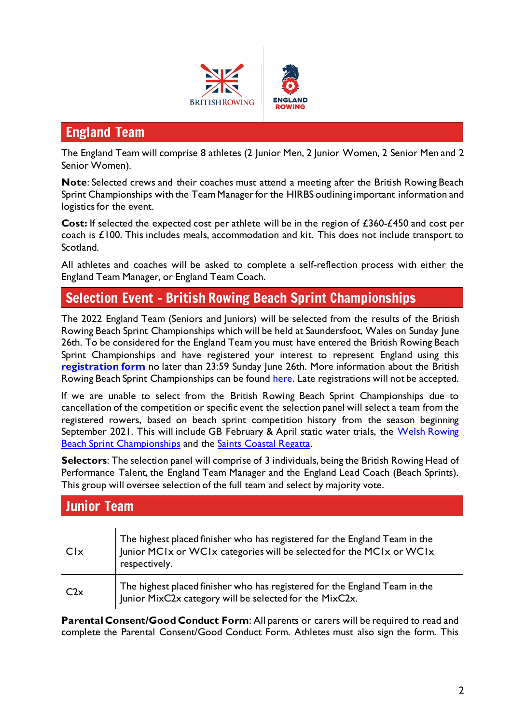

## England Team

The England Team will comprise 8 athletes (2 Junior Men, 2 Junior Women, 2 Senior Men and 2 Senior Women).

**Note**: Selected crews and their coaches must attend a meeting after the British Rowing Beach Sprint Championships with the Team Manager for the HIRBS outlining important information and logistics for the event.

**Cost:** If selected the expected cost per athlete will be in the region of £360-£450 and cost per coach is £100. This includes meals, accommodation and kit. This does not include transport to Scotland.

All athletes and coaches will be asked to complete a self-reflection process with either the England Team Manager, or England Team Coach.

## Selection Event – British Rowing Beach Sprint Championships

The 2022 England Team (Seniors and Juniors) will be selected from the results of the British Rowing Beach Sprint Championships which will be held at Saundersfoot, Wales on Sunday June 26th. To be considered for the England Team you must have entered the British Rowing Beach Sprint Championships and have registered your interest to represent England using this **[registration form](https://docs.google.com/forms/d/e/1FAIpQLScCLyGzpzfnz255Ous5sZAiutLzg1z8n6mCF4XaAGJ227xKzg/viewform?usp=sf_link)** no later than 23:59 Sunday June 26th. More information about the British Rowing Beach Sprint Championships can be found [here.](https://www.britishrowing.org/events/events-calendar/british-rowing-offshore-championships/) Late registrations will not be accepted.

If we are unable to select from the British Rowing Beach Sprint Championships due to cancellation of the competition or specific event the selection panel will select a team from the registered rowers, based on beach sprint competition history from the season beginning September 2021. This will include GB February & April static water trials, the Welsh Rowing [Beach Sprint Championships](https://www.welshrowing.com/en/sea-events/welsh-beach-sprint-championships) and the [Saints Coastal Regatta.](https://saints-regatta.wp.st-andrews.ac.uk/)

**Selectors**: The selection panel will comprise of 3 individuals, being the British Rowing Head of Performance Talent, the England Team Manager and the England Lead Coach (Beach Sprints). This group will oversee selection of the full team and select by majority vote.

## Junior Team

| Clx | The highest placed finisher who has registered for the England Team in the<br>Junior MCIx or WCIx categories will be selected for the MCIx or WCIx<br>respectively. |
|-----|---------------------------------------------------------------------------------------------------------------------------------------------------------------------|
| C2x | The highest placed finisher who has registered for the England Team in the<br>Junior MixC2x category will be selected for the MixC2x.                               |

**Parental Consent/Good Conduct Form**: All parents or carers will be required to read and complete the Parental Consent/Good Conduct Form. Athletes must also sign the form. This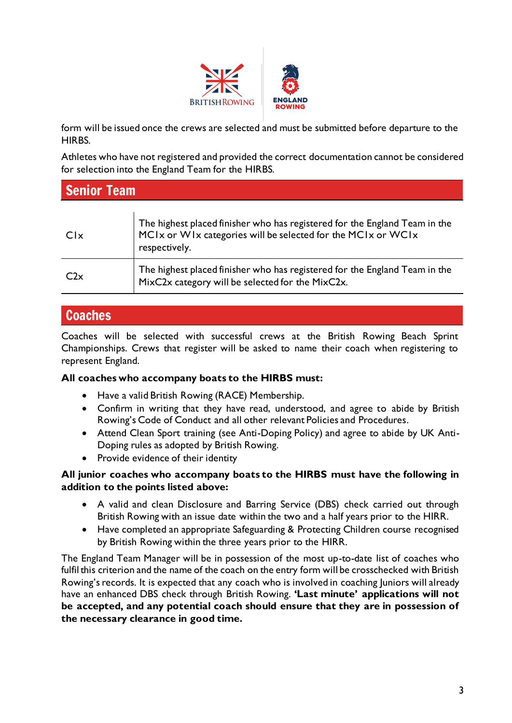

form will be issued once the crews are selected and must be submitted before departure to the HIRBS.

Athletes who have not registered and provided the correct documentation cannot be considered for selection into the England Team for the HIRBS.

| <b>Senior Team</b> |                                                                                                                                                             |  |
|--------------------|-------------------------------------------------------------------------------------------------------------------------------------------------------------|--|
| Clx                | The highest placed finisher who has registered for the England Team in the<br>MCIx or WIx categories will be selected for the MCIx or WCIx<br>respectively. |  |
| C2x                | The highest placed finisher who has registered for the England Team in the<br>MixC2x category will be selected for the MixC2x.                              |  |

## Coaches

Coaches will be selected with successful crews at the British Rowing Beach Sprint Championships. Crews that register will be asked to name their coach when registering to represent England.

#### **All coaches who accompany boats to the HIRBS must:**

- Have a valid British Rowing (RACE) Membership.
- Confirm in writing that they have read, understood, and agree to abide by British Rowing's Code of Conduct and all other relevant Policies and Procedures.
- Attend Clean Sport training (see Anti-Doping Policy) and agree to abide by UK Anti-Doping rules as adopted by British Rowing.
- Provide evidence of their identity

#### **All junior coaches who accompany boats to the HIRBS must have the following in addition to the points listed above:**

- A valid and clean Disclosure and Barring Service (DBS) check carried out through British Rowing with an issue date within the two and a half years prior to the HIRR.
- Have completed an appropriate Safeguarding & Protecting Children course recognised by British Rowing within the three years prior to the HIRR.

The England Team Manager will be in possession of the most up-to-date list of coaches who fulfil this criterion and the name of the coach on the entry form will be crosschecked with British Rowing's records. It is expected that any coach who is involved in coaching Juniors will already have an enhanced DBS check through British Rowing. **'Last minute' applications will not be accepted, and any potential coach should ensure that they are in possession of the necessary clearance in good time.**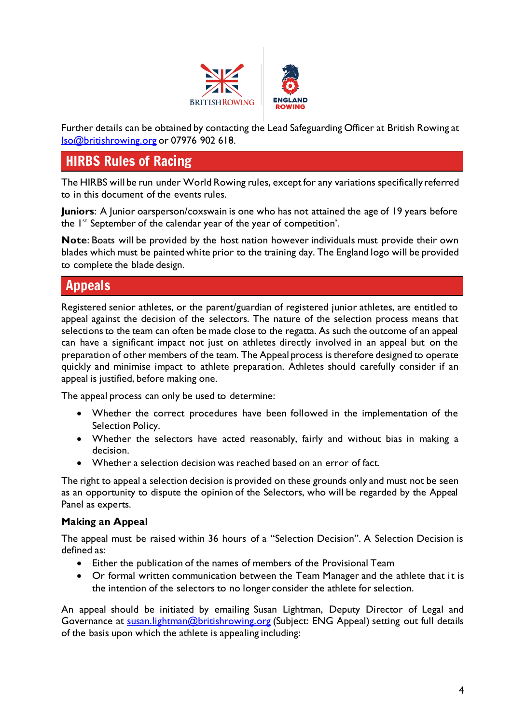

Further details can be obtained by contacting the Lead Safeguarding Officer at British Rowing at [lso@britishrowing.org](mailto:lso@britishrowing.org?subject=ENG%20Home%20International%20Rowing%20Beach%20Sprints) or 07976 902 618.

## HIRBS Rules of Racing

The HIRBS will be run under World Rowing rules, except for any variations specifically referred to in this document of the events rules.

**Juniors**: A Junior oarsperson/coxswain is one who has not attained the age of 19 years before the 1<sup>st</sup> September of the calendar year of the year of competition'.

**Note**: Boats will be provided by the host nation however individuals must provide their own blades which must be painted white prior to the training day. The England logo will be provided to complete the blade design.

## Appeals

Registered senior athletes, or the parent/guardian of registered junior athletes, are entitled to appeal against the decision of the selectors. The nature of the selection process means that selections to the team can often be made close to the regatta. As such the outcome of an appeal can have a significant impact not just on athletes directly involved in an appeal but on the preparation of other members of the team. The Appeal process is therefore designed to operate quickly and minimise impact to athlete preparation. Athletes should carefully consider if an appeal is justified, before making one.

The appeal process can only be used to determine:

- Whether the correct procedures have been followed in the implementation of the Selection Policy.
- Whether the selectors have acted reasonably, fairly and without bias in making a decision.
- Whether a selection decision was reached based on an error of fact.

The right to appeal a selection decision is provided on these grounds only and must not be seen as an opportunity to dispute the opinion of the Selectors, who will be regarded by the Appeal Panel as experts.

#### **Making an Appeal**

The appeal must be raised within 36 hours of a "Selection Decision". A Selection Decision is defined as:

- Either the publication of the names of members of the Provisional Team
- Or formal written communication between the Team Manager and the athlete that it is the intention of the selectors to no longer consider the athlete for selection.

An appeal should be initiated by emailing Susan Lightman, Deputy Director of Legal and Governance at **susan.lightman@britishrowing.org** (Subject: ENG Appeal) setting out full details of the basis upon which the athlete is appealing including: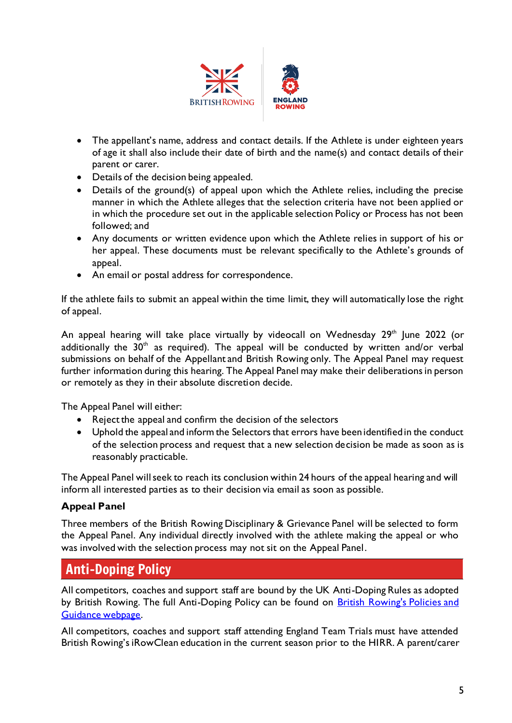

- The appellant's name, address and contact details. If the Athlete is under eighteen years of age it shall also include their date of birth and the name(s) and contact details of their parent or carer.
- Details of the decision being appealed.
- Details of the ground(s) of appeal upon which the Athlete relies, including the precise manner in which the Athlete alleges that the selection criteria have not been applied or in which the procedure set out in the applicable selection Policy or Process has not been followed; and
- Any documents or written evidence upon which the Athlete relies in support of his or her appeal. These documents must be relevant specifically to the Athlete's grounds of appeal.
- An email or postal address for correspondence.

If the athlete fails to submit an appeal within the time limit, they will automatically lose the right of appeal.

An appeal hearing will take place virtually by videocall on Wednesday  $29<sup>th</sup>$  June 2022 (or additionally the  $30<sup>th</sup>$  as required). The appeal will be conducted by written and/or verbal submissions on behalf of the Appellant and British Rowing only. The Appeal Panel may request further information during this hearing. The Appeal Panel may make their deliberations in person or remotely as they in their absolute discretion decide.

The Appeal Panel will either:

- Reject the appeal and confirm the decision of the selectors
- Uphold the appeal and inform the Selectors that errors have been identified in the conduct of the selection process and request that a new selection decision be made as soon as is reasonably practicable.

The Appeal Panel will seek to reach its conclusion within 24 hours of the appeal hearing and will inform all interested parties as to their decision via email as soon as possible.

#### **Appeal Panel**

Three members of the British Rowing Disciplinary & Grievance Panel will be selected to form the Appeal Panel. Any individual directly involved with the athlete making the appeal or who was involved with the selection process may not sit on the Appeal Panel.

## Anti-Doping Policy

All competitors, coaches and support staff are bound by the UK Anti-Doping Rules as adopted by British Rowing. The full Anti-Doping Policy can be found on British Rowing's Policies and [Guidance webpage.](http://www.britishrowing.org/about-us/policies-guidance/)

All competitors, coaches and support staff attending England Team Trials must have attended British Rowing's iRowClean education in the current season prior to the HIRR. A parent/carer